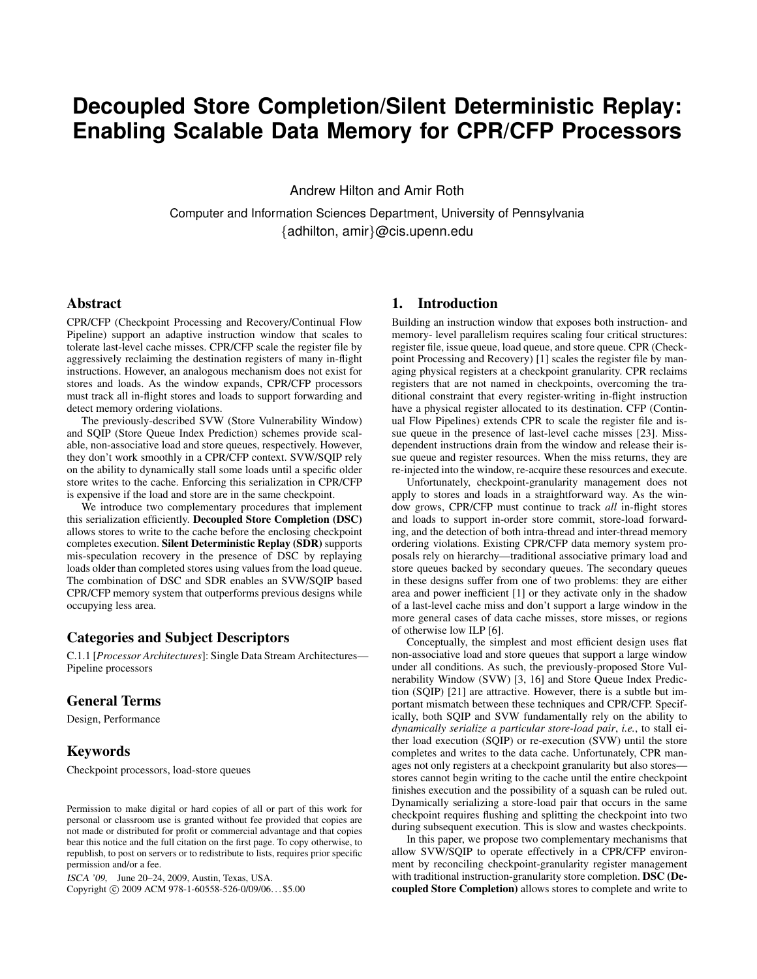# **Decoupled Store Completion/Silent Deterministic Replay: Enabling Scalable Data Memory for CPR/CFP Processors**

Andrew Hilton and Amir Roth

Computer and Information Sciences Department, University of Pennsylvania {adhilton, amir}@cis.upenn.edu

## Abstract

CPR/CFP (Checkpoint Processing and Recovery/Continual Flow Pipeline) support an adaptive instruction window that scales to tolerate last-level cache misses. CPR/CFP scale the register file by aggressively reclaiming the destination registers of many in-flight instructions. However, an analogous mechanism does not exist for stores and loads. As the window expands, CPR/CFP processors must track all in-flight stores and loads to support forwarding and detect memory ordering violations.

The previously-described SVW (Store Vulnerability Window) and SQIP (Store Queue Index Prediction) schemes provide scalable, non-associative load and store queues, respectively. However, they don't work smoothly in a CPR/CFP context. SVW/SQIP rely on the ability to dynamically stall some loads until a specific older store writes to the cache. Enforcing this serialization in CPR/CFP is expensive if the load and store are in the same checkpoint.

We introduce two complementary procedures that implement this serialization efficiently. Decoupled Store Completion (DSC) allows stores to write to the cache before the enclosing checkpoint completes execution. Silent Deterministic Replay (SDR) supports mis-speculation recovery in the presence of DSC by replaying loads older than completed stores using values from the load queue. The combination of DSC and SDR enables an SVW/SQIP based CPR/CFP memory system that outperforms previous designs while occupying less area.

#### Categories and Subject Descriptors

C.1.1 [*Processor Architectures*]: Single Data Stream Architectures— Pipeline processors

## General Terms

Design, Performance

## Keywords

Checkpoint processors, load-store queues

Copyright © 2009 ACM 978-1-60558-526-0/09/06... \$5.00

#### 1. Introduction

Building an instruction window that exposes both instruction- and memory- level parallelism requires scaling four critical structures: register file, issue queue, load queue, and store queue. CPR (Checkpoint Processing and Recovery) [1] scales the register file by managing physical registers at a checkpoint granularity. CPR reclaims registers that are not named in checkpoints, overcoming the traditional constraint that every register-writing in-flight instruction have a physical register allocated to its destination. CFP (Continual Flow Pipelines) extends CPR to scale the register file and issue queue in the presence of last-level cache misses [23]. Missdependent instructions drain from the window and release their issue queue and register resources. When the miss returns, they are re-injected into the window, re-acquire these resources and execute.

Unfortunately, checkpoint-granularity management does not apply to stores and loads in a straightforward way. As the window grows, CPR/CFP must continue to track *all* in-flight stores and loads to support in-order store commit, store-load forwarding, and the detection of both intra-thread and inter-thread memory ordering violations. Existing CPR/CFP data memory system proposals rely on hierarchy—traditional associative primary load and store queues backed by secondary queues. The secondary queues in these designs suffer from one of two problems: they are either area and power inefficient [1] or they activate only in the shadow of a last-level cache miss and don't support a large window in the more general cases of data cache misses, store misses, or regions of otherwise low ILP [6].

Conceptually, the simplest and most efficient design uses flat non-associative load and store queues that support a large window under all conditions. As such, the previously-proposed Store Vulnerability Window (SVW) [3, 16] and Store Queue Index Prediction (SQIP) [21] are attractive. However, there is a subtle but important mismatch between these techniques and CPR/CFP. Specifically, both SQIP and SVW fundamentally rely on the ability to *dynamically serialize a particular store-load pair*, *i.e.*, to stall either load execution (SQIP) or re-execution (SVW) until the store completes and writes to the data cache. Unfortunately, CPR manages not only registers at a checkpoint granularity but also stores stores cannot begin writing to the cache until the entire checkpoint finishes execution and the possibility of a squash can be ruled out. Dynamically serializing a store-load pair that occurs in the same checkpoint requires flushing and splitting the checkpoint into two during subsequent execution. This is slow and wastes checkpoints.

In this paper, we propose two complementary mechanisms that allow SVW/SQIP to operate effectively in a CPR/CFP environment by reconciling checkpoint-granularity register management with traditional instruction-granularity store completion. DSC (Decoupled Store Completion) allows stores to complete and write to

Permission to make digital or hard copies of all or part of this work for personal or classroom use is granted without fee provided that copies are not made or distributed for profit or commercial advantage and that copies bear this notice and the full citation on the first page. To copy otherwise, to republish, to post on servers or to redistribute to lists, requires prior specific permission and/or a fee.

ISCA '09, June 20–24, 2009, Austin, Texas, USA.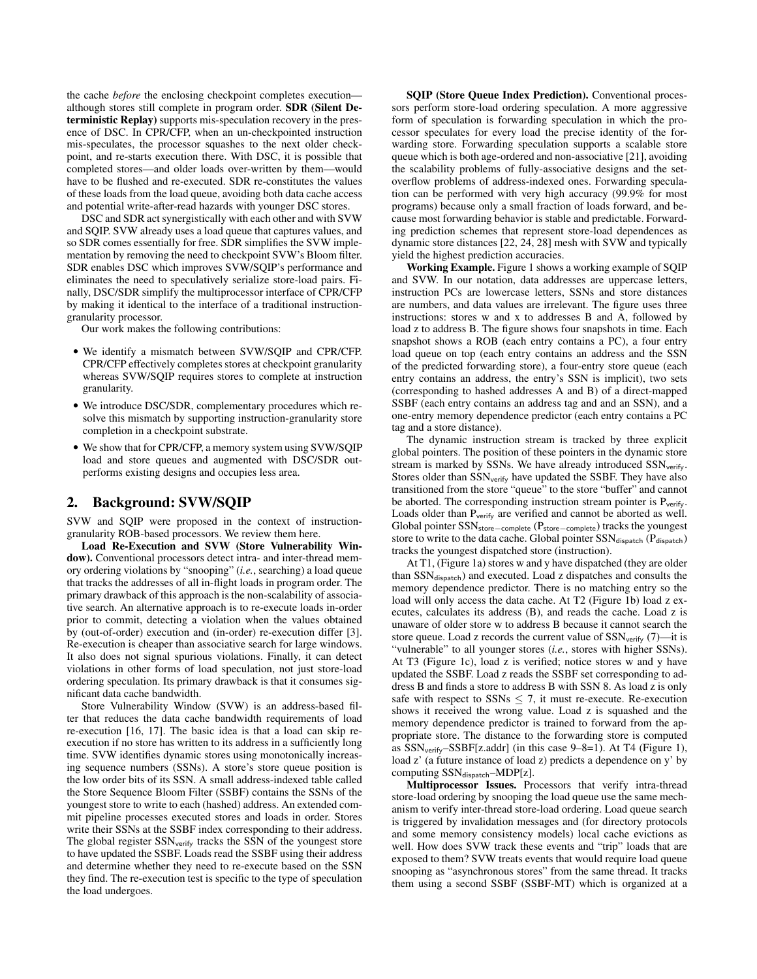the cache *before* the enclosing checkpoint completes execution although stores still complete in program order. SDR (Silent Deterministic Replay) supports mis-speculation recovery in the presence of DSC. In CPR/CFP, when an un-checkpointed instruction mis-speculates, the processor squashes to the next older checkpoint, and re-starts execution there. With DSC, it is possible that completed stores—and older loads over-written by them—would have to be flushed and re-executed. SDR re-constitutes the values of these loads from the load queue, avoiding both data cache access and potential write-after-read hazards with younger DSC stores.

DSC and SDR act synergistically with each other and with SVW and SQIP. SVW already uses a load queue that captures values, and so SDR comes essentially for free. SDR simplifies the SVW implementation by removing the need to checkpoint SVW's Bloom filter. SDR enables DSC which improves SVW/SQIP's performance and eliminates the need to speculatively serialize store-load pairs. Finally, DSC/SDR simplify the multiprocessor interface of CPR/CFP by making it identical to the interface of a traditional instructiongranularity processor.

Our work makes the following contributions:

- We identify a mismatch between SVW/SQIP and CPR/CFP. CPR/CFP effectively completes stores at checkpoint granularity whereas SVW/SQIP requires stores to complete at instruction granularity.
- We introduce DSC/SDR, complementary procedures which resolve this mismatch by supporting instruction-granularity store completion in a checkpoint substrate.
- We show that for CPR/CFP, a memory system using SVW/SQIP load and store queues and augmented with DSC/SDR outperforms existing designs and occupies less area.

#### 2. Background: SVW/SQIP

SVW and SQIP were proposed in the context of instructiongranularity ROB-based processors. We review them here.

Load Re-Execution and SVW (Store Vulnerability Window). Conventional processors detect intra- and inter-thread memory ordering violations by "snooping" (*i.e.*, searching) a load queue that tracks the addresses of all in-flight loads in program order. The primary drawback of this approach is the non-scalability of associative search. An alternative approach is to re-execute loads in-order prior to commit, detecting a violation when the values obtained by (out-of-order) execution and (in-order) re-execution differ [3]. Re-execution is cheaper than associative search for large windows. It also does not signal spurious violations. Finally, it can detect violations in other forms of load speculation, not just store-load ordering speculation. Its primary drawback is that it consumes significant data cache bandwidth.

Store Vulnerability Window (SVW) is an address-based filter that reduces the data cache bandwidth requirements of load re-execution [16, 17]. The basic idea is that a load can skip reexecution if no store has written to its address in a sufficiently long time. SVW identifies dynamic stores using monotonically increasing sequence numbers (SSNs). A store's store queue position is the low order bits of its SSN. A small address-indexed table called the Store Sequence Bloom Filter (SSBF) contains the SSNs of the youngest store to write to each (hashed) address. An extended commit pipeline processes executed stores and loads in order. Stores write their SSNs at the SSBF index corresponding to their address. The global register SSN<sub>verify</sub> tracks the SSN of the youngest store to have updated the SSBF. Loads read the SSBF using their address and determine whether they need to re-execute based on the SSN they find. The re-execution test is specific to the type of speculation the load undergoes.

SQIP (Store Queue Index Prediction). Conventional processors perform store-load ordering speculation. A more aggressive form of speculation is forwarding speculation in which the processor speculates for every load the precise identity of the forwarding store. Forwarding speculation supports a scalable store queue which is both age-ordered and non-associative [21], avoiding the scalability problems of fully-associative designs and the setoverflow problems of address-indexed ones. Forwarding speculation can be performed with very high accuracy (99.9% for most programs) because only a small fraction of loads forward, and because most forwarding behavior is stable and predictable. Forwarding prediction schemes that represent store-load dependences as dynamic store distances [22, 24, 28] mesh with SVW and typically yield the highest prediction accuracies.

Working Example. Figure 1 shows a working example of SQIP and SVW. In our notation, data addresses are uppercase letters, instruction PCs are lowercase letters, SSNs and store distances are numbers, and data values are irrelevant. The figure uses three instructions: stores w and x to addresses B and A, followed by load z to address B. The figure shows four snapshots in time. Each snapshot shows a ROB (each entry contains a PC), a four entry load queue on top (each entry contains an address and the SSN of the predicted forwarding store), a four-entry store queue (each entry contains an address, the entry's SSN is implicit), two sets (corresponding to hashed addresses A and B) of a direct-mapped SSBF (each entry contains an address tag and and an SSN), and a one-entry memory dependence predictor (each entry contains a PC tag and a store distance).

The dynamic instruction stream is tracked by three explicit global pointers. The position of these pointers in the dynamic store stream is marked by SSNs. We have already introduced SSN<sub>verify</sub>. Stores older than SSN<sub>verify</sub> have updated the SSBF. They have also transitioned from the store "queue" to the store "buffer" and cannot be aborted. The corresponding instruction stream pointer is  $P_{\text{verify}}$ . Loads older than P<sub>verify</sub> are verified and cannot be aborted as well. Global pointer  $SSN<sub>store–complete</sub>$  ( $P<sub>store–complete</sub>$ ) tracks the youngest store to write to the data cache. Global pointer SSN<sub>dispatch</sub> (P<sub>dispatch</sub>) tracks the youngest dispatched store (instruction).

At T1, (Figure 1a) stores w and y have dispatched (they are older than SSN<sub>dispatch</sub>) and executed. Load z dispatches and consults the memory dependence predictor. There is no matching entry so the load will only access the data cache. At T2 (Figure 1b) load z executes, calculates its address (B), and reads the cache. Load z is unaware of older store w to address B because it cannot search the store queue. Load z records the current value of SSN<sub>verify</sub> (7)-it is "vulnerable" to all younger stores (*i.e.*, stores with higher SSNs). At T3 (Figure 1c), load z is verified; notice stores w and y have updated the SSBF. Load z reads the SSBF set corresponding to address B and finds a store to address B with SSN 8. As load z is only safe with respect to  $SSNs \leq 7$ , it must re-execute. Re-execution shows it received the wrong value. Load z is squashed and the memory dependence predictor is trained to forward from the appropriate store. The distance to the forwarding store is computed as SSNverify–SSBF[z.addr] (in this case 9–8=1). At T4 (Figure 1), load z' (a future instance of load z) predicts a dependence on y' by computing SSN<sub>dispatch</sub>-MDP[z].

Multiprocessor Issues. Processors that verify intra-thread store-load ordering by snooping the load queue use the same mechanism to verify inter-thread store-load ordering. Load queue search is triggered by invalidation messages and (for directory protocols and some memory consistency models) local cache evictions as well. How does SVW track these events and "trip" loads that are exposed to them? SVW treats events that would require load queue snooping as "asynchronous stores" from the same thread. It tracks them using a second SSBF (SSBF-MT) which is organized at a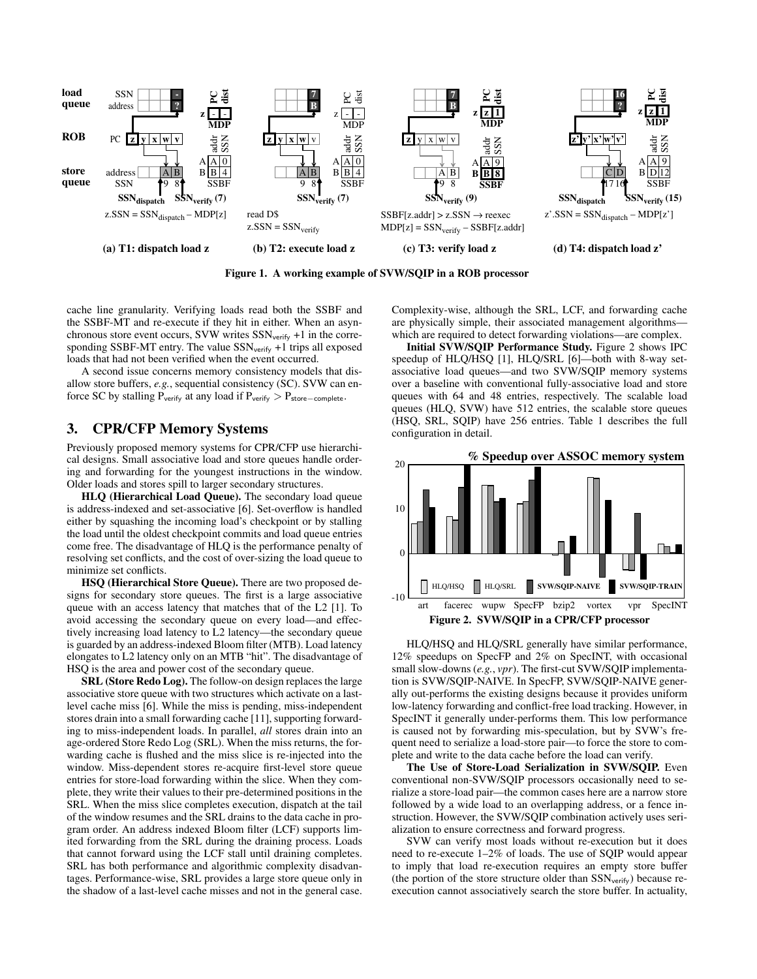

Figure 1. A working example of SVW/SQIP in a ROB processor

cache line granularity. Verifying loads read both the SSBF and the SSBF-MT and re-execute if they hit in either. When an asynchronous store event occurs, SVW writes  $SSN_{\text{verify}} + 1$  in the corresponding SSBF-MT entry. The value SSN<sub>verify</sub> +1 trips all exposed loads that had not been verified when the event occurred.

A second issue concerns memory consistency models that disallow store buffers, *e.g.*, sequential consistency (SC). SVW can enforce SC by stalling  $P_{\text{verify}}$  at any load if  $P_{\text{verify}} > P_{\text{store-complete}}$ .

## 3. CPR/CFP Memory Systems

Previously proposed memory systems for CPR/CFP use hierarchical designs. Small associative load and store queues handle ordering and forwarding for the youngest instructions in the window. Older loads and stores spill to larger secondary structures.

HLQ (Hierarchical Load Queue). The secondary load queue is address-indexed and set-associative [6]. Set-overflow is handled either by squashing the incoming load's checkpoint or by stalling the load until the oldest checkpoint commits and load queue entries come free. The disadvantage of HLQ is the performance penalty of resolving set conflicts, and the cost of over-sizing the load queue to minimize set conflicts.

HSQ (Hierarchical Store Queue). There are two proposed designs for secondary store queues. The first is a large associative queue with an access latency that matches that of the L2 [1]. To avoid accessing the secondary queue on every load—and effectively increasing load latency to L2 latency—the secondary queue is guarded by an address-indexed Bloom filter (MTB). Load latency elongates to L2 latency only on an MTB "hit". The disadvantage of HSQ is the area and power cost of the secondary queue.

SRL (Store Redo Log). The follow-on design replaces the large associative store queue with two structures which activate on a lastlevel cache miss [6]. While the miss is pending, miss-independent stores drain into a small forwarding cache [11], supporting forwarding to miss-independent loads. In parallel, *all* stores drain into an age-ordered Store Redo Log (SRL). When the miss returns, the forwarding cache is flushed and the miss slice is re-injected into the window. Miss-dependent stores re-acquire first-level store queue entries for store-load forwarding within the slice. When they complete, they write their values to their pre-determined positions in the SRL. When the miss slice completes execution, dispatch at the tail of the window resumes and the SRL drains to the data cache in program order. An address indexed Bloom filter (LCF) supports limited forwarding from the SRL during the draining process. Loads that cannot forward using the LCF stall until draining completes. SRL has both performance and algorithmic complexity disadvantages. Performance-wise, SRL provides a large store queue only in the shadow of a last-level cache misses and not in the general case.

Complexity-wise, although the SRL, LCF, and forwarding cache are physically simple, their associated management algorithms which are required to detect forwarding violations—are complex.

Initial SVW/SQIP Performance Study. Figure 2 shows IPC speedup of HLQ/HSQ [1], HLQ/SRL [6]—both with 8-way setassociative load queues—and two SVW/SQIP memory systems over a baseline with conventional fully-associative load and store queues with 64 and 48 entries, respectively. The scalable load queues (HLQ, SVW) have 512 entries, the scalable store queues (HSQ, SRL, SQIP) have 256 entries. Table 1 describes the full configuration in detail.



HLQ/HSQ and HLQ/SRL generally have similar performance, 12% speedups on SpecFP and 2% on SpecINT, with occasional small slow-downs (*e.g.*, *vpr*). The first-cut SVW/SQIP implementation is SVW/SQIP-NAIVE. In SpecFP, SVW/SQIP-NAIVE generally out-performs the existing designs because it provides uniform low-latency forwarding and conflict-free load tracking. However, in SpecINT it generally under-performs them. This low performance is caused not by forwarding mis-speculation, but by SVW's frequent need to serialize a load-store pair—to force the store to complete and write to the data cache before the load can verify.

The Use of Store-Load Serialization in SVW/SQIP. Even conventional non-SVW/SQIP processors occasionally need to serialize a store-load pair—the common cases here are a narrow store followed by a wide load to an overlapping address, or a fence instruction. However, the SVW/SQIP combination actively uses serialization to ensure correctness and forward progress.

SVW can verify most loads without re-execution but it does need to re-execute 1–2% of loads. The use of SQIP would appear to imply that load re-execution requires an empty store buffer (the portion of the store structure older than  $SSN<sub>verify</sub>$ ) because reexecution cannot associatively search the store buffer. In actuality,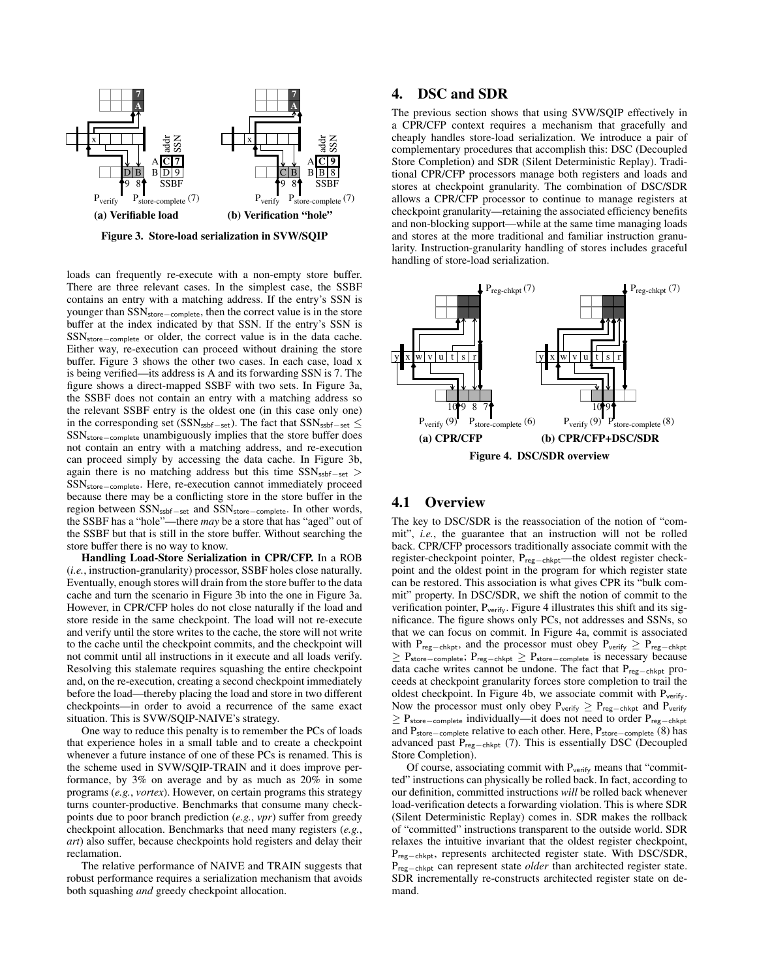

Figure 3. Store-load serialization in SVW/SQIP

loads can frequently re-execute with a non-empty store buffer. There are three relevant cases. In the simplest case, the SSBF contains an entry with a matching address. If the entry's SSN is younger than SSN<sub>store−complete</sub>, then the correct value is in the store buffer at the index indicated by that SSN. If the entry's SSN is SSN<sub>store−complete</sub> or older, the correct value is in the data cache. Either way, re-execution can proceed without draining the store buffer. Figure 3 shows the other two cases. In each case, load x is being verified—its address is A and its forwarding SSN is 7. The figure shows a direct-mapped SSBF with two sets. In Figure 3a, the SSBF does not contain an entry with a matching address so the relevant SSBF entry is the oldest one (in this case only one) in the corresponding set ( $SSN_{ssbf-set}$ ). The fact that  $SSN_{ssbf-set} \leq$ SSN<sub>store−complete</sub> unambiguously implies that the store buffer does not contain an entry with a matching address, and re-execution can proceed simply by accessing the data cache. In Figure 3b, again there is no matching address but this time  $SSN_{ssbf-set}$ SSN<sub>store−complete</sub>. Here, re-execution cannot immediately proceed because there may be a conflicting store in the store buffer in the region between SSN<sub>ssbf−set</sub> and SSN<sub>store−complete</sub>. In other words, the SSBF has a "hole"—there *may* be a store that has "aged" out of the SSBF but that is still in the store buffer. Without searching the store buffer there is no way to know.

Handling Load-Store Serialization in CPR/CFP. In a ROB (*i.e.*, instruction-granularity) processor, SSBF holes close naturally. Eventually, enough stores will drain from the store buffer to the data cache and turn the scenario in Figure 3b into the one in Figure 3a. However, in CPR/CFP holes do not close naturally if the load and store reside in the same checkpoint. The load will not re-execute and verify until the store writes to the cache, the store will not write to the cache until the checkpoint commits, and the checkpoint will not commit until all instructions in it execute and all loads verify. Resolving this stalemate requires squashing the entire checkpoint and, on the re-execution, creating a second checkpoint immediately before the load—thereby placing the load and store in two different checkpoints—in order to avoid a recurrence of the same exact situation. This is SVW/SQIP-NAIVE's strategy.

One way to reduce this penalty is to remember the PCs of loads that experience holes in a small table and to create a checkpoint whenever a future instance of one of these PCs is renamed. This is the scheme used in SVW/SQIP-TRAIN and it does improve performance, by 3% on average and by as much as 20% in some programs (*e.g.*, *vortex*). However, on certain programs this strategy turns counter-productive. Benchmarks that consume many checkpoints due to poor branch prediction (*e.g.*, *vpr*) suffer from greedy checkpoint allocation. Benchmarks that need many registers (*e.g.*, *art*) also suffer, because checkpoints hold registers and delay their reclamation.

The relative performance of NAIVE and TRAIN suggests that robust performance requires a serialization mechanism that avoids both squashing *and* greedy checkpoint allocation.

## 4. DSC and SDR

The previous section shows that using SVW/SQIP effectively in a CPR/CFP context requires a mechanism that gracefully and cheaply handles store-load serialization. We introduce a pair of complementary procedures that accomplish this: DSC (Decoupled Store Completion) and SDR (Silent Deterministic Replay). Traditional CPR/CFP processors manage both registers and loads and stores at checkpoint granularity. The combination of DSC/SDR allows a CPR/CFP processor to continue to manage registers at checkpoint granularity—retaining the associated efficiency benefits and non-blocking support—while at the same time managing loads and stores at the more traditional and familiar instruction granularity. Instruction-granularity handling of stores includes graceful handling of store-load serialization.



## 4.1 Overview

The key to DSC/SDR is the reassociation of the notion of "commit", *i.e.*, the guarantee that an instruction will not be rolled back. CPR/CFP processors traditionally associate commit with the register-checkpoint pointer, Preg−chkpt—the oldest register checkpoint and the oldest point in the program for which register state can be restored. This association is what gives CPR its "bulk commit" property. In DSC/SDR, we shift the notion of commit to the verification pointer, P<sub>verify</sub>. Figure 4 illustrates this shift and its significance. The figure shows only PCs, not addresses and SSNs, so that we can focus on commit. In Figure 4a, commit is associated with P<sub>reg−chkpt</sub>, and the processor must obey P<sub>verify</sub>  $\geq$  P<sub>reg−chkpt</sub>  $\geq P_{\text{store}-\text{complete}}$ ;  $P_{\text{reg}-\text{chkpt}} \geq P_{\text{store}-\text{complete}}$  is necessary because data cache writes cannot be undone. The fact that Preg−chkpt proceeds at checkpoint granularity forces store completion to trail the oldest checkpoint. In Figure 4b, we associate commit with  $P_{\text{verify}}$ . Now the processor must only obey  $P_{\text{verify}} \ge P_{\text{reg}-\text{chkpt}}$  and  $P_{\text{verify}}$ ≥ P<sub>store–complete</sub> individually—it does not need to order P<sub>reg–chkpt</sub> and  $P_{store-complete}$  relative to each other. Here,  $P_{store-complete}$  (8) has advanced past Preg−chkpt (7). This is essentially DSC (Decoupled Store Completion).

Of course, associating commit with  $P_{\text{verify}}$  means that "committed" instructions can physically be rolled back. In fact, according to our definition, committed instructions *will* be rolled back whenever load-verification detects a forwarding violation. This is where SDR (Silent Deterministic Replay) comes in. SDR makes the rollback of "committed" instructions transparent to the outside world. SDR relaxes the intuitive invariant that the oldest register checkpoint, P<sub>reg−chkpt</sub>, represents architected register state. With DSC/SDR, P<sub>reg−chkpt</sub> can represent state *older* than architected register state. SDR incrementally re-constructs architected register state on demand.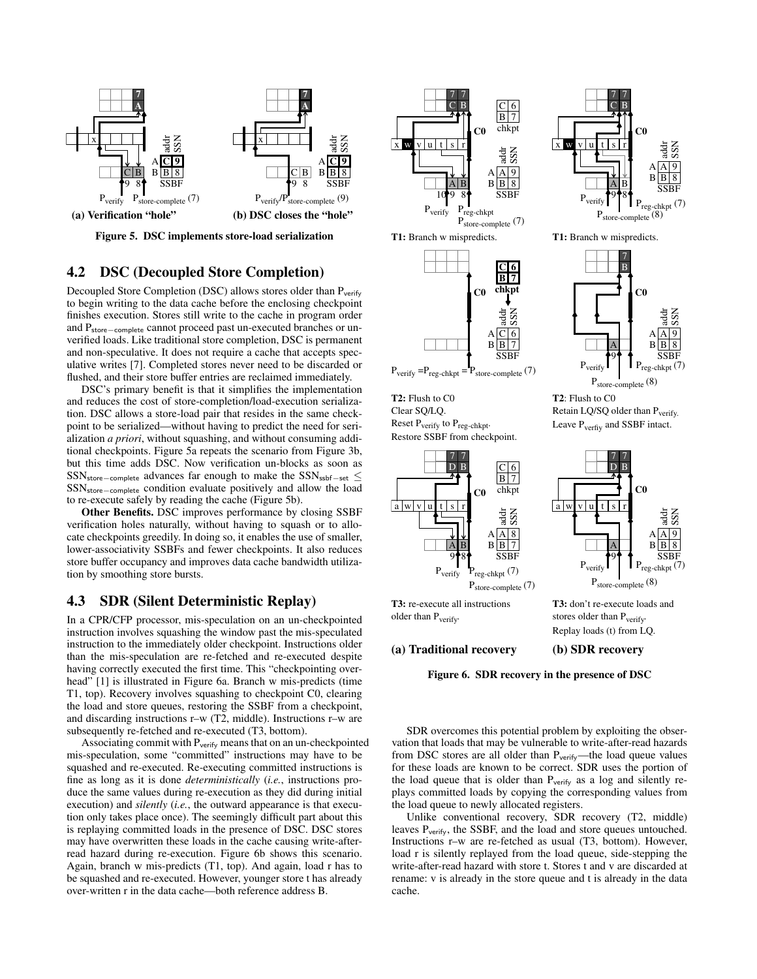

Figure 5. DSC implements store-load serialization

## 4.2 DSC (Decoupled Store Completion)

Decoupled Store Completion (DSC) allows stores older than P<sub>verify</sub> to begin writing to the data cache before the enclosing checkpoint finishes execution. Stores still write to the cache in program order and Pstore−complete cannot proceed past un-executed branches or unverified loads. Like traditional store completion, DSC is permanent and non-speculative. It does not require a cache that accepts speculative writes [7]. Completed stores never need to be discarded or flushed, and their store buffer entries are reclaimed immediately.

DSC's primary benefit is that it simplifies the implementation and reduces the cost of store-completion/load-execution serialization. DSC allows a store-load pair that resides in the same checkpoint to be serialized—without having to predict the need for serialization *a priori*, without squashing, and without consuming additional checkpoints. Figure 5a repeats the scenario from Figure 3b, but this time adds DSC. Now verification un-blocks as soon as SSN<sub>store−complete</sub> advances far enough to make the SSN<sub>ssbf−set</sub> ≤ SSN<sub>store−complete</sub> condition evaluate positively and allow the load to re-execute safely by reading the cache (Figure 5b).

Other Benefits. DSC improves performance by closing SSBF verification holes naturally, without having to squash or to allocate checkpoints greedily. In doing so, it enables the use of smaller, lower-associativity SSBFs and fewer checkpoints. It also reduces store buffer occupancy and improves data cache bandwidth utilization by smoothing store bursts.

## 4.3 SDR (Silent Deterministic Replay)

In a CPR/CFP processor, mis-speculation on an un-checkpointed instruction involves squashing the window past the mis-speculated instruction to the immediately older checkpoint. Instructions older than the mis-speculation are re-fetched and re-executed despite having correctly executed the first time. This "checkpointing overhead" [1] is illustrated in Figure 6a. Branch w mis-predicts (time T1, top). Recovery involves squashing to checkpoint C0, clearing the load and store queues, restoring the SSBF from a checkpoint, and discarding instructions r–w (T2, middle). Instructions r–w are subsequently re-fetched and re-executed (T3, bottom).

Associating commit with  $P_{\text{verify}}$  means that on an un-checkpointed mis-speculation, some "committed" instructions may have to be squashed and re-executed. Re-executing committed instructions is fine as long as it is done *deterministically* (*i.e.*, instructions produce the same values during re-execution as they did during initial execution) and *silently* (*i.e.*, the outward appearance is that execution only takes place once). The seemingly difficult part about this is replaying committed loads in the presence of DSC. DSC stores may have overwritten these loads in the cache causing write-afterread hazard during re-execution. Figure 6b shows this scenario. Again, branch w mis-predicts (T1, top). And again, load r has to be squashed and re-executed. However, younger store t has already over-written r in the data cache—both reference address B.





6

B 7





**T2:** Flush to C0 Clear SQ/LQ. Reset P<sub>verify</sub> to P<sub>reg-chkpt</sub>. Restore SSBF from checkpoint.





A

9

**C0**

dd<br> **AD**<br> **B**<br> **SSBF**  $\frac{A}{B}$  $\frac{A}{B}$  $\overline{\mathbf{B}}$ 9 8



**T3:** re-execute all instructions older than Pverify.

Replay loads (t) from LQ. **(b) SDR recovery**

stores older than P<sub>verify</sub>.

#### **(a) Traditional recovery**

Figure 6. SDR recovery in the presence of DSC

SDR overcomes this potential problem by exploiting the observation that loads that may be vulnerable to write-after-read hazards from DSC stores are all older than P<sub>verify</sub>—the load queue values for these loads are known to be correct. SDR uses the portion of the load queue that is older than P<sub>verify</sub> as a log and silently replays committed loads by copying the corresponding values from the load queue to newly allocated registers.

Unlike conventional recovery, SDR recovery (T2, middle) leaves Pverify, the SSBF, and the load and store queues untouched. Instructions r–w are re-fetched as usual (T3, bottom). However, load r is silently replayed from the load queue, side-stepping the write-after-read hazard with store t. Stores t and v are discarded at rename: v is already in the store queue and t is already in the data cache.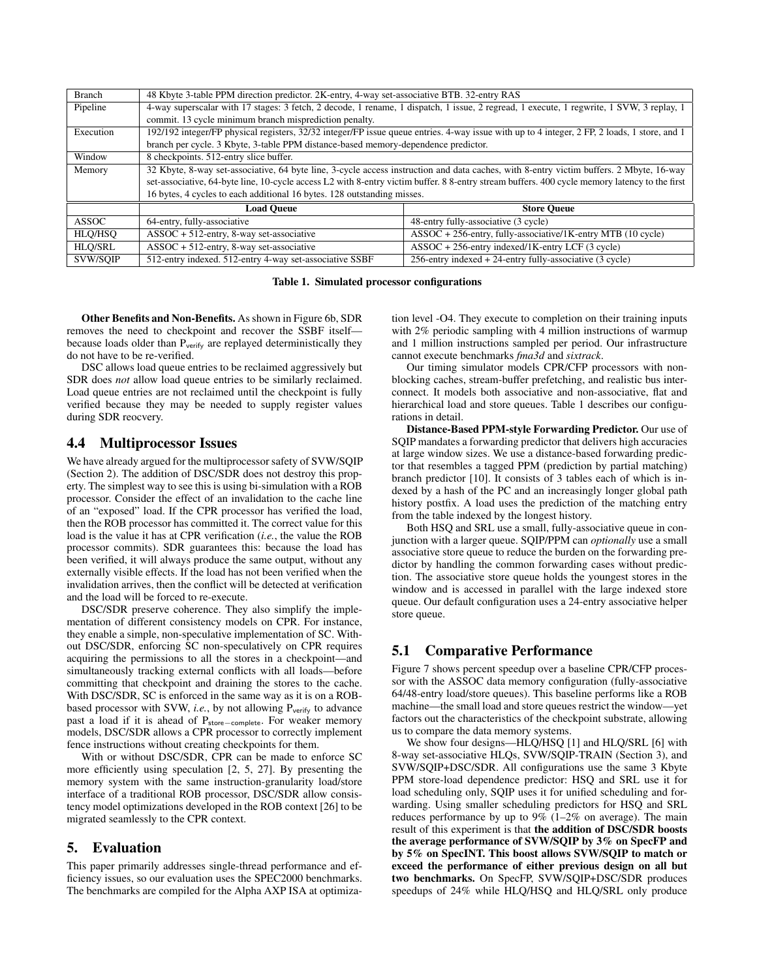| <b>Branch</b> | 48 Kbyte 3-table PPM direction predictor. 2K-entry, 4-way set-associative BTB. 32-entry RAS                                                   |                                                                       |  |  |  |  |
|---------------|-----------------------------------------------------------------------------------------------------------------------------------------------|-----------------------------------------------------------------------|--|--|--|--|
| Pipeline      | 4-way superscalar with 17 stages: 3 fetch, 2 decode, 1 rename, 1 dispatch, 1 issue, 2 regread, 1 execute, 1 regwrite, 1 SVW, 3 replay, 1      |                                                                       |  |  |  |  |
|               | commit. 13 cycle minimum branch misprediction penalty.                                                                                        |                                                                       |  |  |  |  |
| Execution     | 192/192 integer/FP physical registers, 32/32 integer/FP issue queue entries. 4-way issue with up to 4 integer, 2 FP, 2 loads, 1 store, and 1  |                                                                       |  |  |  |  |
|               | branch per cycle. 3 Kbyte, 3-table PPM distance-based memory-dependence predictor.                                                            |                                                                       |  |  |  |  |
| Window        | 8 checkpoints. 512-entry slice buffer.                                                                                                        |                                                                       |  |  |  |  |
| Memory        | 32 Kbyte, 8-way set-associative, 64 byte line, 3-cycle access instruction and data caches, with 8-entry victim buffers. 2 Mbyte, 16-way       |                                                                       |  |  |  |  |
|               | set-associative, 64-byte line, 10-cycle access L2 with 8-entry victim buffer. 8 8-entry stream buffers. 400 cycle memory latency to the first |                                                                       |  |  |  |  |
|               | 16 bytes, 4 cycles to each additional 16 bytes. 128 outstanding misses.                                                                       |                                                                       |  |  |  |  |
|               | <b>Load Oueue</b>                                                                                                                             | <b>Store Oueue</b>                                                    |  |  |  |  |
| <b>ASSOC</b>  | 64-entry, fully-associative                                                                                                                   | 48-entry fully-associative (3 cycle)                                  |  |  |  |  |
| HLO/HSO       | $ASSOC + 512$ -entry, 8-way set-associative                                                                                                   | ASSOC + 256-entry, fully-associative/1K-entry MTB (10 cycle)          |  |  |  |  |
| HLO/SRL       | $ASSOC + 512$ -entry, 8-way set-associative                                                                                                   | $ASSOC + 256$ -entry indexed/1K-entry LCF (3 cycle)                   |  |  |  |  |
| SVW/SOIP      | 512-entry indexed. 512-entry 4-way set-associative SSBF                                                                                       | $256$ -entry indexed + 24-entry fully-associative $(3 \text{ cycle})$ |  |  |  |  |

Table 1. Simulated processor configurations

Other Benefits and Non-Benefits. As shown in Figure 6b, SDR removes the need to checkpoint and recover the SSBF itself because loads older than P<sub>verify</sub> are replayed deterministically they do not have to be re-verified.

DSC allows load queue entries to be reclaimed aggressively but SDR does *not* allow load queue entries to be similarly reclaimed. Load queue entries are not reclaimed until the checkpoint is fully verified because they may be needed to supply register values during SDR reocvery.

## 4.4 Multiprocessor Issues

We have already argued for the multiprocessor safety of SVW/SQIP (Section 2). The addition of DSC/SDR does not destroy this property. The simplest way to see this is using bi-simulation with a ROB processor. Consider the effect of an invalidation to the cache line of an "exposed" load. If the CPR processor has verified the load, then the ROB processor has committed it. The correct value for this load is the value it has at CPR verification (*i.e.*, the value the ROB processor commits). SDR guarantees this: because the load has been verified, it will always produce the same output, without any externally visible effects. If the load has not been verified when the invalidation arrives, then the conflict will be detected at verification and the load will be forced to re-execute.

DSC/SDR preserve coherence. They also simplify the implementation of different consistency models on CPR. For instance, they enable a simple, non-speculative implementation of SC. Without DSC/SDR, enforcing SC non-speculatively on CPR requires acquiring the permissions to all the stores in a checkpoint—and simultaneously tracking external conflicts with all loads—before committing that checkpoint and draining the stores to the cache. With DSC/SDR, SC is enforced in the same way as it is on a ROBbased processor with SVW, *i.e.*, by not allowing P<sub>verify</sub> to advance past a load if it is ahead of P<sub>store−complete</sub>. For weaker memory models, DSC/SDR allows a CPR processor to correctly implement fence instructions without creating checkpoints for them.

With or without DSC/SDR, CPR can be made to enforce SC more efficiently using speculation [2, 5, 27]. By presenting the memory system with the same instruction-granularity load/store interface of a traditional ROB processor, DSC/SDR allow consistency model optimizations developed in the ROB context [26] to be migrated seamlessly to the CPR context.

## 5. Evaluation

This paper primarily addresses single-thread performance and efficiency issues, so our evaluation uses the SPEC2000 benchmarks. The benchmarks are compiled for the Alpha AXP ISA at optimization level -O4. They execute to completion on their training inputs with 2% periodic sampling with 4 million instructions of warmup and 1 million instructions sampled per period. Our infrastructure cannot execute benchmarks *fma3d* and *sixtrack*.

Our timing simulator models CPR/CFP processors with nonblocking caches, stream-buffer prefetching, and realistic bus interconnect. It models both associative and non-associative, flat and hierarchical load and store queues. Table 1 describes our configurations in detail.

Distance-Based PPM-style Forwarding Predictor. Our use of SQIP mandates a forwarding predictor that delivers high accuracies at large window sizes. We use a distance-based forwarding predictor that resembles a tagged PPM (prediction by partial matching) branch predictor [10]. It consists of 3 tables each of which is indexed by a hash of the PC and an increasingly longer global path history postfix. A load uses the prediction of the matching entry from the table indexed by the longest history.

Both HSQ and SRL use a small, fully-associative queue in conjunction with a larger queue. SQIP/PPM can *optionally* use a small associative store queue to reduce the burden on the forwarding predictor by handling the common forwarding cases without prediction. The associative store queue holds the youngest stores in the window and is accessed in parallel with the large indexed store queue. Our default configuration uses a 24-entry associative helper store queue.

## 5.1 Comparative Performance

Figure 7 shows percent speedup over a baseline CPR/CFP processor with the ASSOC data memory configuration (fully-associative 64/48-entry load/store queues). This baseline performs like a ROB machine—the small load and store queues restrict the window—yet factors out the characteristics of the checkpoint substrate, allowing us to compare the data memory systems.

We show four designs—HLQ/HSQ [1] and HLQ/SRL [6] with 8-way set-associative HLQs, SVW/SQIP-TRAIN (Section 3), and SVW/SQIP+DSC/SDR. All configurations use the same 3 Kbyte PPM store-load dependence predictor: HSQ and SRL use it for load scheduling only, SQIP uses it for unified scheduling and forwarding. Using smaller scheduling predictors for HSQ and SRL reduces performance by up to  $9\%$  (1–2% on average). The main result of this experiment is that the addition of DSC/SDR boosts the average performance of SVW/SQIP by 3% on SpecFP and by 5% on SpecINT. This boost allows SVW/SQIP to match or exceed the performance of either previous design on all but two benchmarks. On SpecFP, SVW/SQIP+DSC/SDR produces speedups of 24% while HLQ/HSQ and HLQ/SRL only produce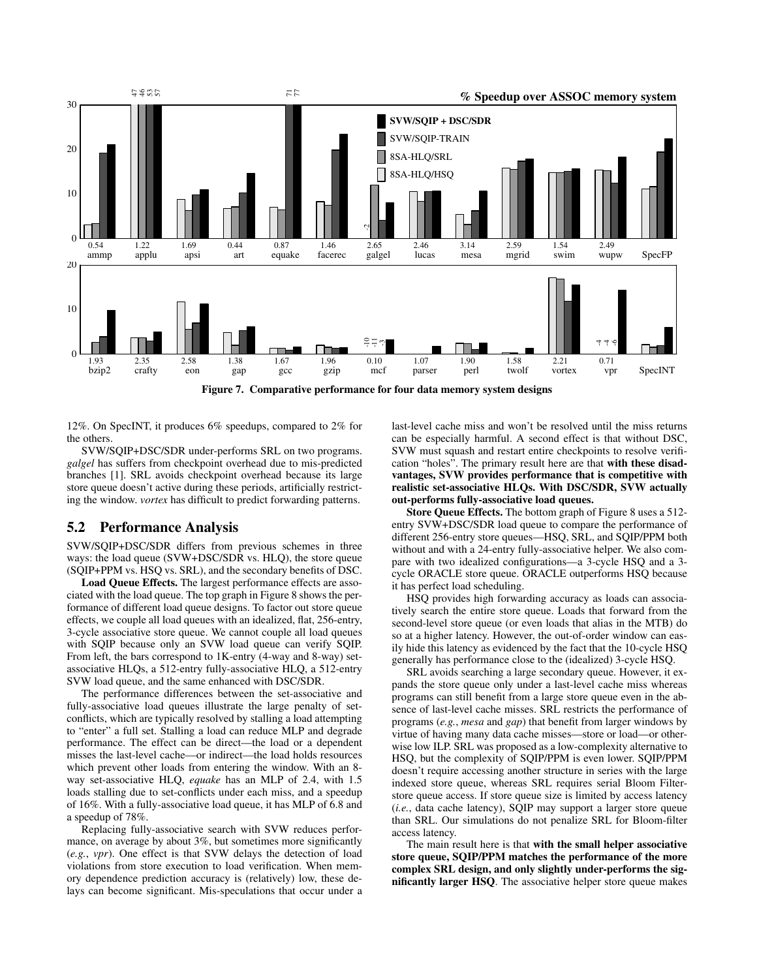

Figure 7. Comparative performance for four data memory system designs

12%. On SpecINT, it produces 6% speedups, compared to 2% for the others.

SVW/SQIP+DSC/SDR under-performs SRL on two programs. *galgel* has suffers from checkpoint overhead due to mis-predicted branches [1]. SRL avoids checkpoint overhead because its large store queue doesn't active during these periods, artificially restricting the window. *vortex* has difficult to predict forwarding patterns.

## 5.2 Performance Analysis

SVW/SQIP+DSC/SDR differs from previous schemes in three ways: the load queue (SVW+DSC/SDR vs. HLQ), the store queue (SQIP+PPM vs. HSQ vs. SRL), and the secondary benefits of DSC.

Load Queue Effects. The largest performance effects are associated with the load queue. The top graph in Figure 8 shows the performance of different load queue designs. To factor out store queue effects, we couple all load queues with an idealized, flat, 256-entry, 3-cycle associative store queue. We cannot couple all load queues with SQIP because only an SVW load queue can verify SQIP. From left, the bars correspond to 1K-entry (4-way and 8-way) setassociative HLQs, a 512-entry fully-associative HLQ, a 512-entry SVW load queue, and the same enhanced with DSC/SDR.

The performance differences between the set-associative and fully-associative load queues illustrate the large penalty of setconflicts, which are typically resolved by stalling a load attempting to "enter" a full set. Stalling a load can reduce MLP and degrade performance. The effect can be direct—the load or a dependent misses the last-level cache—or indirect—the load holds resources which prevent other loads from entering the window. With an 8 way set-associative HLQ, *equake* has an MLP of 2.4, with 1.5 loads stalling due to set-conflicts under each miss, and a speedup of 16%. With a fully-associative load queue, it has MLP of 6.8 and a speedup of 78%.

Replacing fully-associative search with SVW reduces performance, on average by about 3%, but sometimes more significantly (*e.g.*, *vpr*). One effect is that SVW delays the detection of load violations from store execution to load verification. When memory dependence prediction accuracy is (relatively) low, these delays can become significant. Mis-speculations that occur under a

last-level cache miss and won't be resolved until the miss returns can be especially harmful. A second effect is that without DSC, SVW must squash and restart entire checkpoints to resolve verification "holes". The primary result here are that with these disadvantages, SVW provides performance that is competitive with realistic set-associative HLQs. With DSC/SDR, SVW actually out-performs fully-associative load queues.

Store Queue Effects. The bottom graph of Figure 8 uses a 512 entry SVW+DSC/SDR load queue to compare the performance of different 256-entry store queues—HSQ, SRL, and SQIP/PPM both without and with a 24-entry fully-associative helper. We also compare with two idealized configurations—a 3-cycle HSQ and a 3 cycle ORACLE store queue. ORACLE outperforms HSQ because it has perfect load scheduling.

HSQ provides high forwarding accuracy as loads can associatively search the entire store queue. Loads that forward from the second-level store queue (or even loads that alias in the MTB) do so at a higher latency. However, the out-of-order window can easily hide this latency as evidenced by the fact that the 10-cycle HSQ generally has performance close to the (idealized) 3-cycle HSQ.

SRL avoids searching a large secondary queue. However, it expands the store queue only under a last-level cache miss whereas programs can still benefit from a large store queue even in the absence of last-level cache misses. SRL restricts the performance of programs (*e.g.*, *mesa* and *gap*) that benefit from larger windows by virtue of having many data cache misses—store or load—or otherwise low ILP. SRL was proposed as a low-complexity alternative to HSQ, but the complexity of SQIP/PPM is even lower. SQIP/PPM doesn't require accessing another structure in series with the large indexed store queue, whereas SRL requires serial Bloom Filterstore queue access. If store queue size is limited by access latency (*i.e.*, data cache latency), SQIP may support a larger store queue than SRL. Our simulations do not penalize SRL for Bloom-filter access latency.

The main result here is that with the small helper associative store queue, SQIP/PPM matches the performance of the more complex SRL design, and only slightly under-performs the significantly larger HSQ. The associative helper store queue makes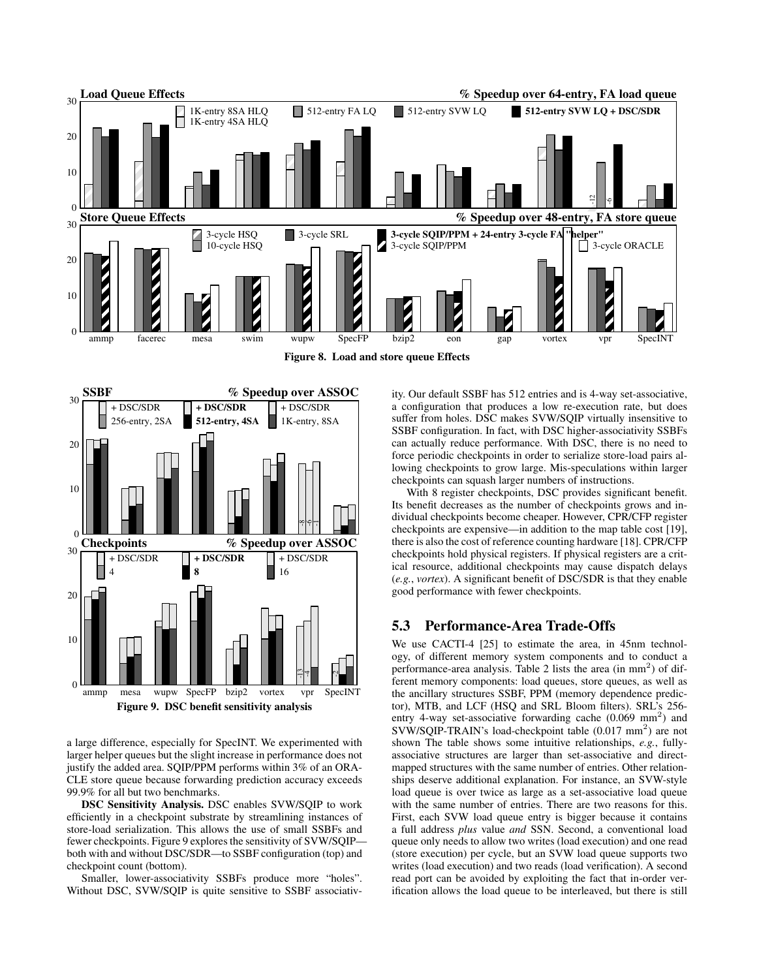

Figure 8. Load and store queue Effects



a large difference, especially for SpecINT. We experimented with larger helper queues but the slight increase in performance does not justify the added area. SQIP/PPM performs within 3% of an ORA-CLE store queue because forwarding prediction accuracy exceeds 99.9% for all but two benchmarks.

DSC Sensitivity Analysis. DSC enables SVW/SQIP to work efficiently in a checkpoint substrate by streamlining instances of store-load serialization. This allows the use of small SSBFs and fewer checkpoints. Figure 9 explores the sensitivity of SVW/SQIP both with and without DSC/SDR—to SSBF configuration (top) and checkpoint count (bottom).

Smaller, lower-associativity SSBFs produce more "holes". Without DSC, SVW/SQIP is quite sensitive to SSBF associativity. Our default SSBF has 512 entries and is 4-way set-associative, a configuration that produces a low re-execution rate, but does suffer from holes. DSC makes SVW/SQIP virtually insensitive to SSBF configuration. In fact, with DSC higher-associativity SSBFs can actually reduce performance. With DSC, there is no need to force periodic checkpoints in order to serialize store-load pairs allowing checkpoints to grow large. Mis-speculations within larger checkpoints can squash larger numbers of instructions.

With 8 register checkpoints, DSC provides significant benefit. Its benefit decreases as the number of checkpoints grows and individual checkpoints become cheaper. However, CPR/CFP register checkpoints are expensive—in addition to the map table cost [19], there is also the cost of reference counting hardware [18]. CPR/CFP checkpoints hold physical registers. If physical registers are a critical resource, additional checkpoints may cause dispatch delays (*e.g.*, *vortex*). A significant benefit of DSC/SDR is that they enable good performance with fewer checkpoints.

## 5.3 Performance-Area Trade-Offs

We use CACTI-4 [25] to estimate the area, in 45nm technology, of different memory system components and to conduct a performance-area analysis. Table 2 lists the area  $(in \, mm^2)$  of different memory components: load queues, store queues, as well as the ancillary structures SSBF, PPM (memory dependence predictor), MTB, and LCF (HSQ and SRL Bloom filters). SRL's 256 entry 4-way set-associative forwarding cache  $(0.069 \text{ mm}^2)$  and SVW/SQIP-TRAIN's load-checkpoint table (0.017 mm<sup>2</sup>) are not shown The table shows some intuitive relationships, *e.g.*, fullyassociative structures are larger than set-associative and directmapped structures with the same number of entries. Other relationships deserve additional explanation. For instance, an SVW-style load queue is over twice as large as a set-associative load queue with the same number of entries. There are two reasons for this. First, each SVW load queue entry is bigger because it contains a full address *plus* value *and* SSN. Second, a conventional load queue only needs to allow two writes (load execution) and one read (store execution) per cycle, but an SVW load queue supports two writes (load execution) and two reads (load verification). A second read port can be avoided by exploiting the fact that in-order verification allows the load queue to be interleaved, but there is still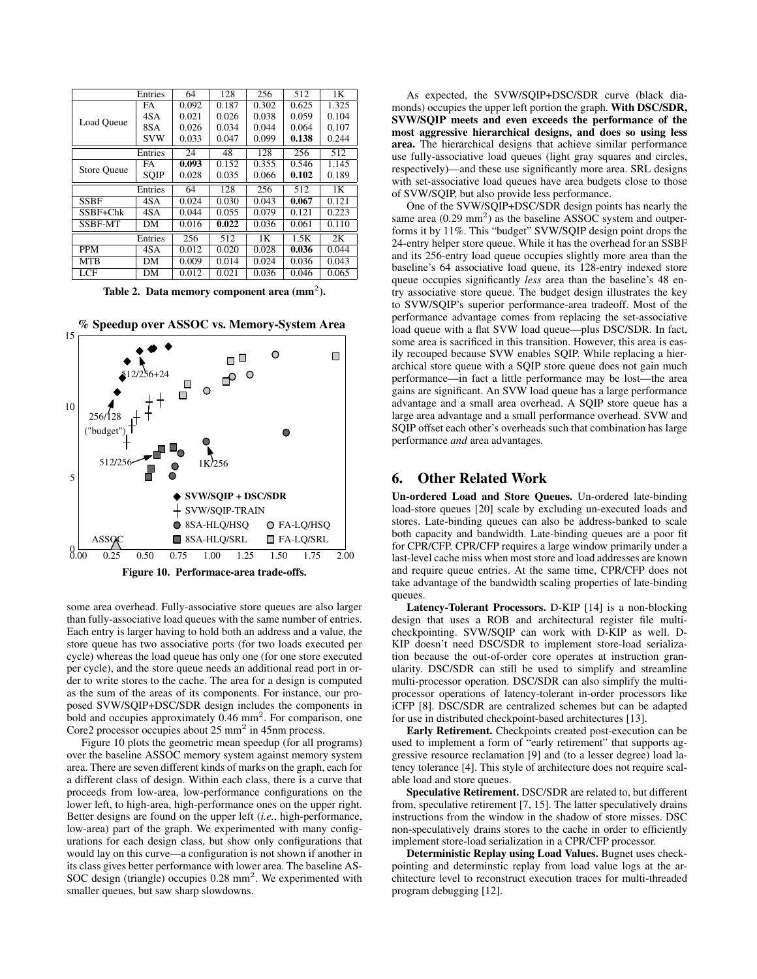|                    | Entries       | 64    | 128              | 256   | 512   | 1K    |
|--------------------|---------------|-------|------------------|-------|-------|-------|
|                    | FA            | 0.092 | 0.187            | 0.302 | 0.625 | 1.325 |
| <b>Load Oueue</b>  | $4S \text{A}$ | 0.021 | 0.026            | 0.038 | 0.059 | 0.104 |
|                    | 8SA           | 0.026 | 0.034            | 0.044 | 0.064 | 0.107 |
|                    | <b>SVW</b>    | 0.033 | 0.047            | 0.099 | 0.138 | 0.244 |
| Entries            |               | 24    | 48               | 128   | 256   | 512   |
| <b>Store Queue</b> | FA            | 0.093 | 0.152            | 0.355 | 0.546 | 1.145 |
|                    | SQIP          | 0.028 | 0.035            | 0.066 | 0.102 | 0.189 |
|                    | Entries       | 64    | 128              | 256   | 512   | 1K    |
|                    |               |       |                  |       |       |       |
| <b>SSBF</b>        | 4SA           | 0.024 | 0.030            | 0.043 | 0.067 | 0.121 |
| SSBF+Chk           | 4SA           | 0.044 | 0.055            | 0.079 | 0.121 | 0.223 |
| SSBF-MT            | DМ            | 0.016 | 0.022            | 0.036 | 0.061 | 0.110 |
|                    | Entries       | 256   | $\overline{512}$ | 1 K   | 1.5K  | 2K    |
| <b>PPM</b>         | 4SA           | 0.012 | 0.020            | 0.028 | 0.036 | 0.044 |
| <b>MTB</b>         | DΜ            | 0.009 | 0.014            | 0.024 | 0.036 | 0.043 |

Table 2. Data memory component area  $(mm^2)$ .



5





some area overhead. Fully-associative store queues are also larger than fully-associative load queues with the same number of entries. Each entry is larger having to hold both an address and a value, the store queue has two associative ports (for two loads executed per cycle) whereas the load queue has only one (for one store executed per cycle), and the store queue needs an additional read port in order to write stores to the cache. The area for a design is computed as the sum of the areas of its components. For instance, our proposed SVW/SQIP+DSC/SDR design includes the components in bold and occupies approximately 0.46 mm<sup>2</sup>. For comparison, one Core2 processor occupies about  $25 \text{ mm}^2$  in  $45 \text{ nm}$  process.

Figure 10 plots the geometric mean speedup (for all programs) over the baseline ASSOC memory system against memory system area. There are seven different kinds of marks on the graph, each for a different class of design. Within each class, there is a curve that proceeds from low-area, low-performance configurations on the lower left, to high-area, high-performance ones on the upper right. Better designs are found on the upper left (*i.e.*, high-performance, low-area) part of the graph. We experimented with many configurations for each design class, but show only configurations that would lay on this curve—a configuration is not shown if another in its class gives better performance with lower area. The baseline AS-SOC design (triangle) occupies 0.28 mm<sup>2</sup>. We experimented with smaller queues, but saw sharp slowdowns.

As expected, the SVW/SQIP+DSC/SDR curve (black diamonds) occupies the upper left portion the graph. With DSC/SDR, SVW/SQIP meets and even exceeds the performance of the most aggressive hierarchical designs, and does so using less area. The hierarchical designs that achieve similar performance use fully-associative load queues (light gray squares and circles, respectively)—and these use significantly more area. SRL designs with set-associative load queues have area budgets close to those of SVW/SQIP, but also provide less performance.

One of the SVW/SQIP+DSC/SDR design points has nearly the same area  $(0.29 \text{ mm}^2)$  as the baseline ASSOC system and outperforms it by 11%. This "budget" SVW/SQIP design point drops the 24-entry helper store queue. While it has the overhead for an SSBF and its 256-entry load queue occupies slightly more area than the baseline's 64 associative load queue, its 128-entry indexed store queue occupies significantly *less* area than the baseline's 48 entry associative store queue. The budget design illustrates the key to SVW/SQIP's superior performance-area tradeoff. Most of the performance advantage comes from replacing the set-associative load queue with a flat SVW load queue—plus DSC/SDR. In fact, some area is sacrificed in this transition. However, this area is easily recouped because SVW enables SQIP. While replacing a hierarchical store queue with a SQIP store queue does not gain much performance—in fact a little performance may be lost—the area gains are significant. An SVW load queue has a large performance advantage and a small area overhead. A SQIP store queue has a large area advantage and a small performance overhead. SVW and SQIP offset each other's overheads such that combination has large performance *and* area advantages.

#### 6. Other Related Work

Un-ordered Load and Store Queues. Un-ordered late-binding load-store queues [20] scale by excluding un-executed loads and stores. Late-binding queues can also be address-banked to scale both capacity and bandwidth. Late-binding queues are a poor fit for CPR/CFP. CPR/CFP requires a large window primarily under a last-level cache miss when most store and load addresses are known and require queue entries. At the same time, CPR/CFP does not take advantage of the bandwidth scaling properties of late-binding queues.

Latency-Tolerant Processors. D-KIP [14] is a non-blocking design that uses a ROB and architectural register file multicheckpointing. SVW/SQIP can work with D-KIP as well. D-KIP doesn't need DSC/SDR to implement store-load serialization because the out-of-order core operates at instruction granularity. DSC/SDR can still be used to simplify and streamline multi-processor operation. DSC/SDR can also simplify the multiprocessor operations of latency-tolerant in-order processors like iCFP [8]. DSC/SDR are centralized schemes but can be adapted for use in distributed checkpoint-based architectures [13].

Early Retirement. Checkpoints created post-execution can be used to implement a form of "early retirement" that supports aggressive resource reclamation [9] and (to a lesser degree) load latency tolerance [4]. This style of architecture does not require scalable load and store queues.

Speculative Retirement. DSC/SDR are related to, but different from, speculative retirement [7, 15]. The latter speculatively drains instructions from the window in the shadow of store misses. DSC non-speculatively drains stores to the cache in order to efficiently implement store-load serialization in a CPR/CFP processor.

Deterministic Replay using Load Values. Bugnet uses checkpointing and determinstic replay from load value logs at the architecture level to reconstruct execution traces for multi-threaded program debugging [12].